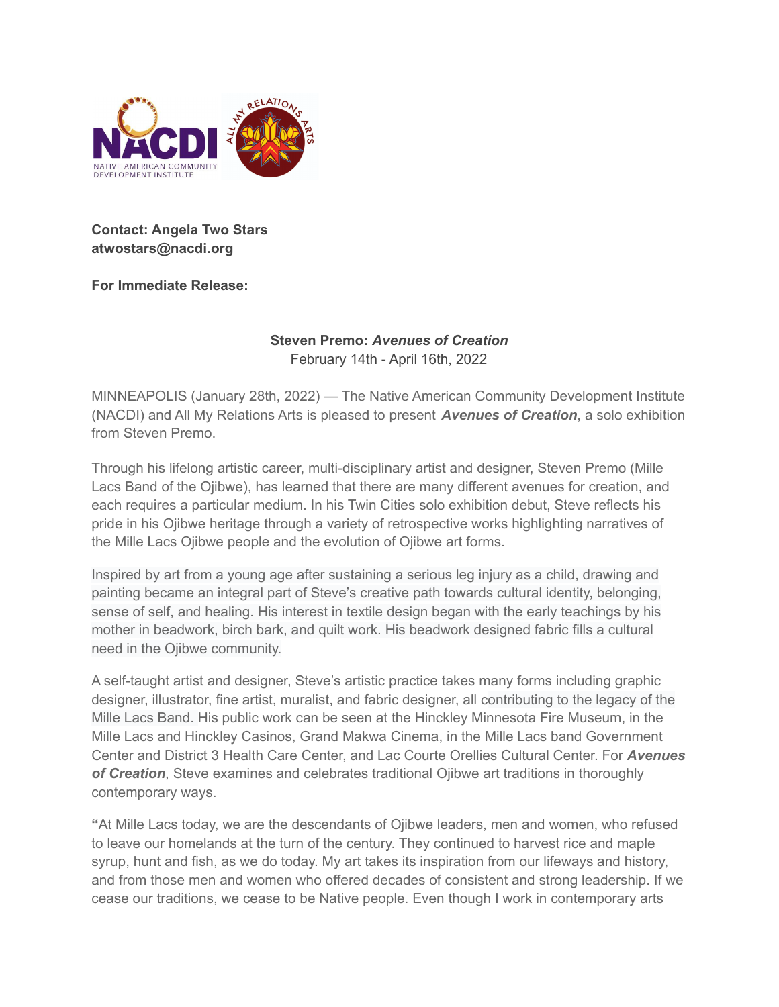

## **Contact: Angela Two Stars atwostars@nacdi.org**

**For Immediate Release:**

## **Steven Premo:** *Avenues of Creation* February 14th - April 16th, 2022

MINNEAPOLIS (January 28th, 2022) — The Native American Community Development Institute (NACDI) and All My Relations Arts is pleased to present *Avenues of Creation*, a solo exhibition from Steven Premo.

Through his lifelong artistic career, multi-disciplinary artist and designer, Steven Premo (Mille Lacs Band of the Ojibwe), has learned that there are many different avenues for creation, and each requires a particular medium. In his Twin Cities solo exhibition debut, Steve reflects his pride in his Ojibwe heritage through a variety of retrospective works highlighting narratives of the Mille Lacs Ojibwe people and the evolution of Ojibwe art forms.

Inspired by art from a young age after sustaining a serious leg injury as a child, drawing and painting became an integral part of Steve's creative path towards cultural identity, belonging, sense of self, and healing. His interest in textile design began with the early teachings by his mother in beadwork, birch bark, and quilt work. His beadwork designed fabric fills a cultural need in the Ojibwe community.

A self-taught artist and designer, Steve's artistic practice takes many forms including graphic designer, illustrator, fine artist, muralist, and fabric designer, all contributing to the legacy of the Mille Lacs Band. His public work can be seen at the Hinckley Minnesota Fire Museum, in the Mille Lacs and Hinckley Casinos, Grand Makwa Cinema, in the Mille Lacs band Government Center and District 3 Health Care Center, and Lac Courte Orellies Cultural Center. For *Avenues of Creation*, Steve examines and celebrates traditional Ojibwe art traditions in thoroughly contemporary ways.

**"**At Mille Lacs today, we are the descendants of Ojibwe leaders, men and women, who refused to leave our homelands at the turn of the century. They continued to harvest rice and maple syrup, hunt and fish, as we do today. My art takes its inspiration from our lifeways and history, and from those men and women who offered decades of consistent and strong leadership. If we cease our traditions, we cease to be Native people. Even though I work in contemporary arts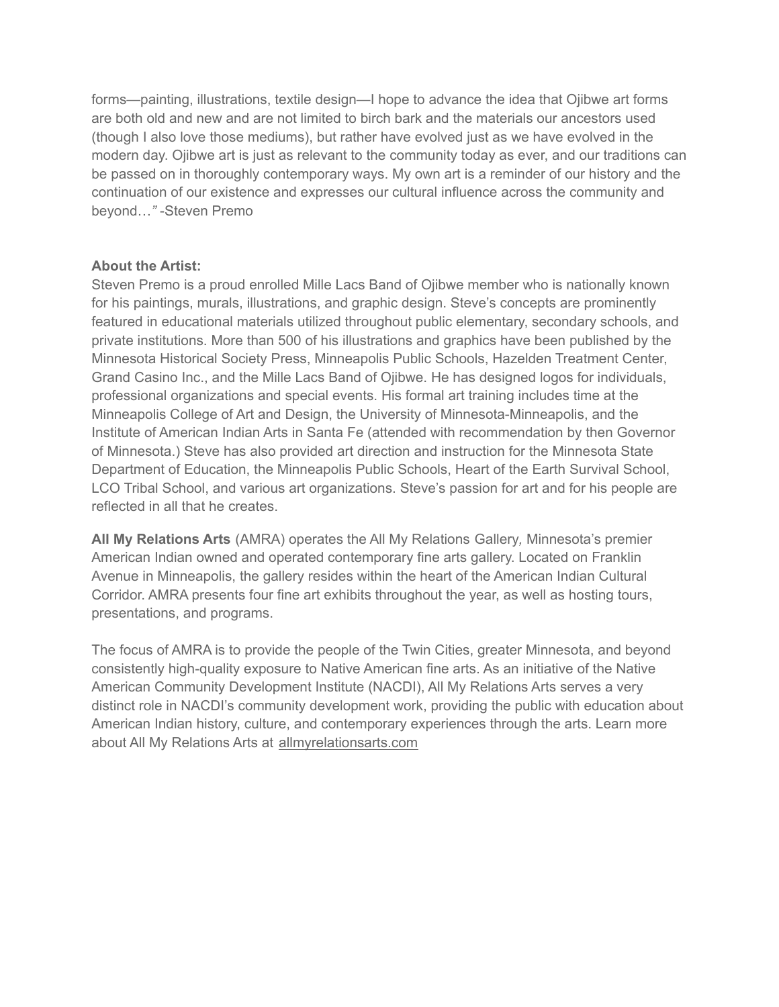forms—painting, illustrations, textile design—I hope to advance the idea that Ojibwe art forms are both old and new and are not limited to birch bark and the materials our ancestors used (though I also love those mediums), but rather have evolved just as we have evolved in the modern day. Ojibwe art is just as relevant to the community today as ever, and our traditions can be passed on in thoroughly contemporary ways. My own art is a reminder of our history and the continuation of our existence and expresses our cultural influence across the community and beyond…*"* -Steven Premo

## **About the Artist:**

Steven Premo is a proud enrolled Mille Lacs Band of Ojibwe member who is nationally known for his paintings, murals, illustrations, and graphic design. Steve's concepts are prominently featured in educational materials utilized throughout public elementary, secondary schools, and private institutions. More than 500 of his illustrations and graphics have been published by the Minnesota Historical Society Press, Minneapolis Public Schools, Hazelden Treatment Center, Grand Casino Inc., and the Mille Lacs Band of Ojibwe. He has designed logos for individuals, professional organizations and special events. His formal art training includes time at the Minneapolis College of Art and Design, the University of Minnesota-Minneapolis, and the Institute of American Indian Arts in Santa Fe (attended with recommendation by then Governor of Minnesota.) Steve has also provided art direction and instruction for the Minnesota State Department of Education, the Minneapolis Public Schools, Heart of the Earth Survival School, LCO Tribal School, and various art organizations. Steve's passion for art and for his people are reflected in all that he creates.

**All My Relations Arts** (AMRA) operates the All My Relations Gallery*,* Minnesota's premier American Indian owned and operated contemporary fine arts gallery. Located on Franklin Avenue in Minneapolis, the gallery resides within the heart of the American Indian Cultural Corridor. AMRA presents four fine art exhibits throughout the year, as well as hosting tours, presentations, and programs.

The focus of AMRA is to provide the people of the Twin Cities, greater Minnesota, and beyond consistently high-quality exposure to Native American fine arts. As an initiative of the Native American Community Development Institute (NACDI), All My Relations Arts serves a very distinct role in NACDI's community development work, providing the public with education about American Indian history, culture, and contemporary experiences through the arts. Learn more about All My Relations Arts at [allmyrelationsarts.com](http://allmyrelationsarts.com/)